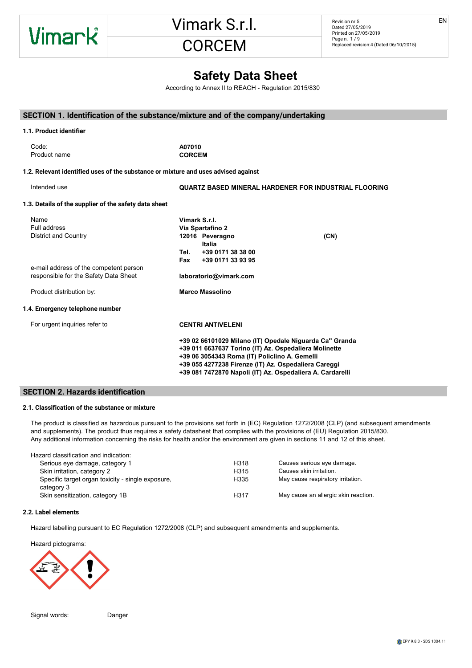



# - General System of General System of General System of Chemicals- IATA DGR: International Air Transport Air T

According to Annex II to REACH - Regulation 2015/830 H315 Causes skin irritation. Does not meet the classification criteria for this hazard class

#### SECTION 1. Identification of the substance/mixture and of the company/undertaking H317 May cause an allergic skin reaction. 8.1. Control parameters 9.1. Information on basic physical and chemical properties In the absence of experimental data for the product itself, health hazards are evaluated according to the properties of the substances it SECTION 1. Identification of the substance/mixture and of the co  $-$  IMO: International Maritime Organizational Maritime Organization :CTION 1. Identification of the substai

| 1.1. Product identifier                                                            |                                                              |
|------------------------------------------------------------------------------------|--------------------------------------------------------------|
| Code:<br>Product name                                                              | A07010<br><b>CORCEM</b>                                      |
| 1.2. Relevant identified uses of the substance or mixture and uses advised against |                                                              |
| Intended use                                                                       | <b>QUARTZ BASED MINERAL HARDENER FOR INDUSTRIAL FLOORING</b> |
| 1.3. Details of the supplier of the safety data sheet                              |                                                              |
| Name                                                                               | Vimark S.r.l.                                                |
| Full address                                                                       | Via Spartafino 2                                             |
| <b>District and Country</b>                                                        | 12016 Peveragno<br>(CN)<br>Italia                            |
|                                                                                    | +39 0171 38 38 00<br>Tel.                                    |
|                                                                                    | +39 0171 33 93 95<br>Fax                                     |
| e-mail address of the competent person                                             |                                                              |
| responsible for the Safety Data Sheet                                              | laboratorio@vimark.com                                       |
| Product distribution by:                                                           | <b>Marco Massolino</b>                                       |
| 1.4. Emergency telephone number                                                    |                                                              |
| For urgent inquiries refer to                                                      | <b>CENTRI ANTIVELENI</b>                                     |
|                                                                                    | +39 02 66101029 Milano (IT) Opedale Niguarda Ca" Granda      |
|                                                                                    | +39 011 6637637 Torino (IT) Az. Ospedaliera Molinette        |
|                                                                                    | +39 06 3054343 Roma (IT) Policlino A. Gemelli                |
|                                                                                    | +39 055 4277238 Firenze (IT) Az. Ospedaliera Careggi         |
|                                                                                    | +39 081 7472870 Napoli (IT) Az. Ospedaliera A. Cardarelli    |

## **SECTION 2. Hazards identification** CAS 65997-15-1 30 ≤ 40 Eye Dam. 1 H315, Skin Irrit. 2 H315, Skin Irrit. 2 H315, Skin Sens. 1999. 1999. 1999. 1

#### 2.1. Classification of the substance or mixture . Classification of the substance or mixture - **The construction** (to the construct of mixture

The product is classified as hazardous pursuant to the provisions set forth in (EC) Regulation 1272/2008 (CLP) (and subsequent amendments and supplements). The product thus requires a safety datasheet that complies with the provisions of (EU) Regulation 2015/830. Any additional information concerning the risks for health and/or the environment are given in sections 11 and 12 of this sheet. Any information on personal protection and disposal is given in sections 8 and 13. Contaminated packaging must be recovered or disposed of in compliance with national waste management regulations. . ..., aadnondin

During the risk assessment process, it is essential to take into consideration the ACGIH occupational exposure levels for inert particulate not

| Hazard classification and indication:                           |                  |                                      |
|-----------------------------------------------------------------|------------------|--------------------------------------|
| Serious eye damage, category 1                                  | H318             | Causes serious eye damage.           |
| Skin irritation, category 2                                     | H <sub>315</sub> | Causes skin irritation.              |
| Specific target organ toxicity - single exposure.<br>category 3 | H335             | May cause respiratory irritation.    |
| Skin sensitization, category 1B                                 | H317             | May cause an allergic skin reaction. |

#### 2.2. Label elements and the set of the set of the set of the set of the set of the set of the set of the set of the set of the set of the set of the set of the set of the set of the set of the set of the set of the set of  $\mathcal{L}_{\mathbf{z}}$  remove contact lenses of water for at least 15 minutes, opening the eyelids fully. If  $\mathbf{z}$  is problem to executed function function function function function  $\mathcal{L}_{\mathbf{z}}$  $S$  storaget organization organization organization  $S$  specific exposure, category 3 specific exposure, category 3 specific exposure, category 3 specific exposure, category 3 specific exposure, category 3 specific exposu  $T_{\text{total}}$  direct control; the users must, users must, under the current health the current health the current health the current health the current health the current health the current health the current health the curre and safety laws and regulations. The producer is relieved from any liability arising from improper uses. The product is relief to the proper uses. The proper uses of the proper uses. The proper uses of the proper uses. The

Hazard labelling pursuant to EC Regulation 1272/2008 (CLP) and subsequent amendments and supplements. persists, seek medical advice. Hazard labelling pursuant to EC Regulation 1272/2008 (CLP) and subsequent amendments and supplements.  $\frac{1}{2}$ zaru labelility pursuarit to EG Kegulation. Iz rzizoot  $\frac{p_{\text{p}}}{p_{\text{p}}}\left( \frac{p_{\text{p}}}{p_{\text{p}}}\right)$  and outpoint  $\frac{p_{\text{p}}}{p_{\text{p}}}\left( \frac{p_{\text{p}}}{p_{\text{p}}}\right)$ 



Signal words: Danger olghal words: Dang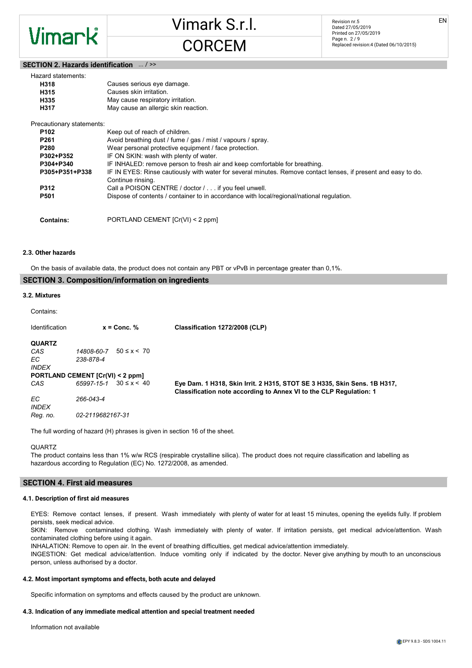

Vimark S.r.l. CORCEM

EN

#### SECTION 2. Hazards identification  $...$  / >>

| Hazard statements:        |                                                                                                                                     |
|---------------------------|-------------------------------------------------------------------------------------------------------------------------------------|
| H318                      | Causes serious eye damage.                                                                                                          |
| H315                      | Causes skin irritation.                                                                                                             |
| H335                      | May cause respiratory irritation.                                                                                                   |
| H317                      | May cause an allergic skin reaction.                                                                                                |
| Precautionary statements: |                                                                                                                                     |
| P102                      | Keep out of reach of children.                                                                                                      |
| P <sub>261</sub>          | Avoid breathing dust / fume / gas / mist / vapours / spray.                                                                         |
| <b>P280</b>               | Wear personal protective equipment / face protection.                                                                               |
| P302+P352                 | IF ON SKIN: wash with plenty of water.                                                                                              |
| P304+P340                 | IF INHALED: remove person to fresh air and keep comfortable for breathing.                                                          |
| P305+P351+P338            | IF IN EYES: Rinse cautiously with water for several minutes. Remove contact lenses, if present and easy to do.<br>Continue rinsing. |
| P312                      | Call a POISON CENTRE / doctor / if you feel unwell.                                                                                 |
| P501                      | Dispose of contents / container to in accordance with local/regional/national regulation.                                           |
| <b>Contains:</b>          | PORTLAND CEMENT [Cr(VI) < 2 ppm]                                                                                                    |

#### 2.3. Other hazards

On the basis of available data, the product does not contain any PBT or vPvB in percentage greater than 0,1%.

## SECTION 3. Composition/information on ingredients

#### 3.2. Mixtures

#### Contains:

| Identification                              | $x =$ Conc. %                                | Classification 1272/2008 (CLP)                                                                                                                 |
|---------------------------------------------|----------------------------------------------|------------------------------------------------------------------------------------------------------------------------------------------------|
| <b>QUARTZ</b><br>CAS<br>EC.<br><b>INDEX</b> | $50 \le x \le 70$<br>14808-60-7<br>238-878-4 |                                                                                                                                                |
|                                             | PORTLAND CEMENT [Cr(VI) < 2 ppm]             |                                                                                                                                                |
| CAS                                         | $30 \le x \le 40$<br>65997-15-1              | Eye Dam. 1 H318, Skin Irrit. 2 H315, STOT SE 3 H335, Skin Sens. 1B H317,<br>Classification note according to Annex VI to the CLP Regulation: 1 |
| EC.<br><b>INDEX</b>                         | 266-043-4                                    |                                                                                                                                                |
| Reg. no.                                    | 02-2119682167-31                             |                                                                                                                                                |

The full wording of hazard (H) phrases is given in section 16 of the sheet.

QUARTZ

The product contains less than 1% w/w RCS (respirable crystalline silica). The product does not require classification and labelling as hazardous according to Regulation (EC) No. 1272/2008, as amended.

## SECTION 4. First aid measures

## 4.1. Description of first aid measures

EYES: Remove contact lenses, if present. Wash immediately with plenty of water for at least 15 minutes, opening the eyelids fully. If problem persists, seek medical advice.

SKIN: Remove contaminated clothing. Wash immediately with plenty of water. If irritation persists, get medical advice/attention. Wash contaminated clothing before using it again.

INHALATION: Remove to open air. In the event of breathing difficulties, get medical advice/attention immediately.

INGESTION: Get medical advice/attention. Induce vomiting only if indicated by the doctor. Never give anything by mouth to an unconscious person, unless authorised by a doctor.

## 4.2. Most important symptoms and effects, both acute and delayed

Specific information on symptoms and effects caused by the product are unknown.

## 4.3. Indication of any immediate medical attention and special treatment needed

Information not available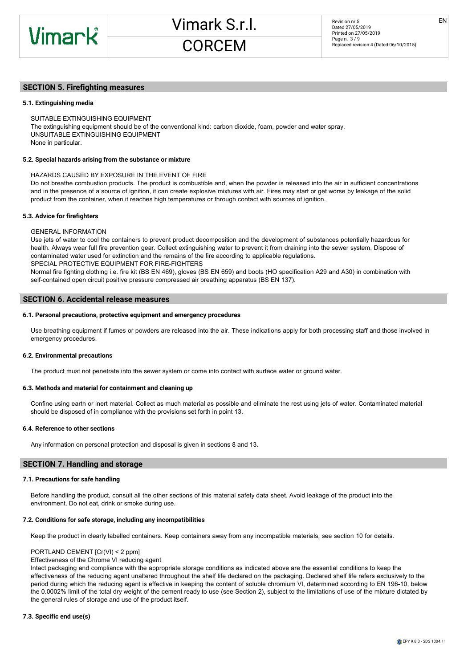#### SECTION 5. Firefighting measures

#### 5.1. Extinguishing media

SUITABLE EXTINGUISHING EQUIPMENT The extinguishing equipment should be of the conventional kind: carbon dioxide, foam, powder and water spray. UNSUITABLE EXTINGUISHING EQUIPMENT None in particular.

#### 5.2. Special hazards arising from the substance or mixture

#### HAZARDS CAUSED BY EXPOSURE IN THE EVENT OF FIRE

Do not breathe combustion products. The product is combustible and, when the powder is released into the air in sufficient concentrations and in the presence of a source of ignition, it can create explosive mixtures with air. Fires may start or get worse by leakage of the solid product from the container, when it reaches high temperatures or through contact with sources of ignition.

#### 5.3. Advice for firefighters

GENERAL INFORMATION

Use jets of water to cool the containers to prevent product decomposition and the development of substances potentially hazardous for health. Always wear full fire prevention gear. Collect extinguishing water to prevent it from draining into the sewer system. Dispose of contaminated water used for extinction and the remains of the fire according to applicable regulations. SPECIAL PROTECTIVE EQUIPMENT FOR FIRE-FIGHTERS

Normal fire fighting clothing i.e. fire kit (BS EN 469), gloves (BS EN 659) and boots (HO specification A29 and A30) in combination with self-contained open circuit positive pressure compressed air breathing apparatus (BS EN 137).

## SECTION 6. Accidental release measures

#### 6.1. Personal precautions, protective equipment and emergency procedures

Use breathing equipment if fumes or powders are released into the air. These indications apply for both processing staff and those involved in emergency procedures.

#### 6.2. Environmental precautions

The product must not penetrate into the sewer system or come into contact with surface water or ground water.

#### 6.3. Methods and material for containment and cleaning up

Confine using earth or inert material. Collect as much material as possible and eliminate the rest using jets of water. Contaminated material should be disposed of in compliance with the provisions set forth in point 13.

#### 6.4. Reference to other sections

Any information on personal protection and disposal is given in sections 8 and 13.

## SECTION 7. Handling and storage

#### 7.1. Precautions for safe handling

Before handling the product, consult all the other sections of this material safety data sheet. Avoid leakage of the product into the environment. Do not eat, drink or smoke during use.

#### 7.2. Conditions for safe storage, including any incompatibilities

Keep the product in clearly labelled containers. Keep containers away from any incompatible materials, see section 10 for details.

#### PORTLAND CEMENT [Cr(VI) < 2 ppm]

Effectiveness of the Chrome VI reducing agent

Intact packaging and compliance with the appropriate storage conditions as indicated above are the essential conditions to keep the effectiveness of the reducing agent unaltered throughout the shelf life declared on the packaging. Declared shelf life refers exclusively to the period during which the reducing agent is effective in keeping the content of soluble chromium VI, determined according to EN 196-10, below the 0.0002% limit of the total dry weight of the cement ready to use (see Section 2), subject to the limitations of use of the mixture dictated by the general rules of storage and use of the product itself.

#### 7.3. Specific end use(s)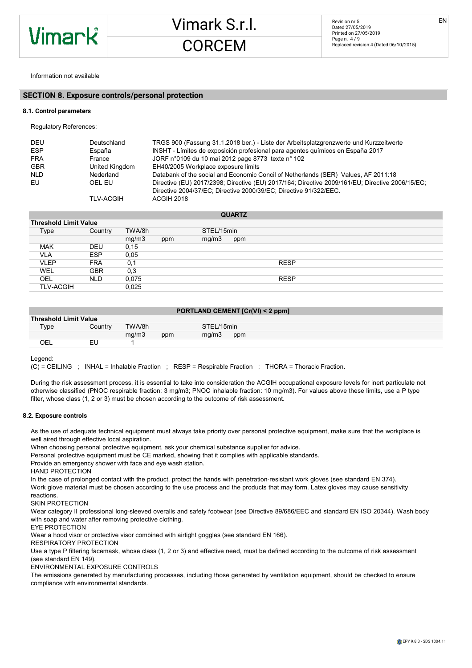Information not available

#### SECTION 8. Exposure controls/personal protection

#### 8.1. Control parameters

Regulatory References:

| DEU        | Deutschland                | TRGS 900 (Fassung 31.1.2018 ber.) - Liste der Arbeitsplatzgrenzwerte und Kurzzeitwerte                                                                                             |
|------------|----------------------------|------------------------------------------------------------------------------------------------------------------------------------------------------------------------------------|
| <b>ESP</b> | España                     | INSHT - Límites de exposición profesional para agentes guímicos en España 2017                                                                                                     |
| <b>FRA</b> | France                     | JORF n°0109 du 10 mai 2012 page 8773 texte n° 102                                                                                                                                  |
| <b>GBR</b> | United Kingdom             | EH40/2005 Workplace exposure limits                                                                                                                                                |
| <b>NLD</b> | Nederland                  | Databank of the social and Economic Concil of Netherlands (SER) Values, AF 2011:18                                                                                                 |
| EU.        | OEL EU<br><b>TLV-ACGIH</b> | Directive (EU) 2017/2398; Directive (EU) 2017/164; Directive 2009/161/EU; Directive 2006/15/EC;<br>Directive 2004/37/EC; Directive 2000/39/EC; Directive 91/322/EEC.<br>ACGIH 2018 |

|                              |            |        |     |            | <b>QUARTZ</b> |             |  |
|------------------------------|------------|--------|-----|------------|---------------|-------------|--|
| <b>Threshold Limit Value</b> |            |        |     |            |               |             |  |
| Type                         | Country    | TWA/8h |     | STEL/15min |               |             |  |
|                              |            | mg/m3  | ppm | mg/m3      | ppm           |             |  |
| <b>MAK</b>                   | <b>DEU</b> | 0,15   |     |            |               |             |  |
| <b>VLA</b>                   | <b>ESP</b> | 0.05   |     |            |               |             |  |
| <b>VLEP</b>                  | <b>FRA</b> | 0,1    |     |            |               | <b>RESP</b> |  |
| WEL                          | <b>GBR</b> | 0,3    |     |            |               |             |  |
| OEL                          | <b>NLD</b> | 0.075  |     |            |               | <b>RESP</b> |  |
| <b>TLV-ACGIH</b>             |            | 0,025  |     |            |               |             |  |

| PORTLAND CEMENT [Cr(VI) < 2 ppm] |         |        |     |            |     |  |
|----------------------------------|---------|--------|-----|------------|-----|--|
| Threshold Limit Value            |         |        |     |            |     |  |
| Type                             | Countrv | TWA/8h |     | STEL/15min |     |  |
|                                  |         | mq/m3  | ppm | ma/m3      | ppm |  |
| OEL                              | ΕL      |        |     |            |     |  |

Legend:

(C) = CEILING ; INHAL = Inhalable Fraction ; RESP = Respirable Fraction ; THORA = Thoracic Fraction.

During the risk assessment process, it is essential to take into consideration the ACGIH occupational exposure levels for inert particulate not otherwise classified (PNOC respirable fraction: 3 mg/m3; PNOC inhalable fraction: 10 mg/m3). For values above these limits, use a P type filter, whose class (1, 2 or 3) must be chosen according to the outcome of risk assessment.

#### 8.2. Exposure controls

As the use of adequate technical equipment must always take priority over personal protective equipment, make sure that the workplace is well aired through effective local aspiration.

When choosing personal protective equipment, ask your chemical substance supplier for advice.

Personal protective equipment must be CE marked, showing that it complies with applicable standards.

Provide an emergency shower with face and eye wash station.

HAND PROTECTION

In the case of prolonged contact with the product, protect the hands with penetration-resistant work gloves (see standard EN 374). Work glove material must be chosen according to the use process and the products that may form. Latex gloves may cause sensitivity reactions.

SKIN PROTECTION

Wear category II professional long-sleeved overalls and safety footwear (see Directive 89/686/EEC and standard EN ISO 20344). Wash body with soap and water after removing protective clothing.

EYE PROTECTION

Wear a hood visor or protective visor combined with airtight goggles (see standard EN 166).

RESPIRATORY PROTECTION

Use a type P filtering facemask, whose class (1, 2 or 3) and effective need, must be defined according to the outcome of risk assessment (see standard EN 149).

ENVIRONMENTAL EXPOSURE CONTROLS

The emissions generated by manufacturing processes, including those generated by ventilation equipment, should be checked to ensure compliance with environmental standards.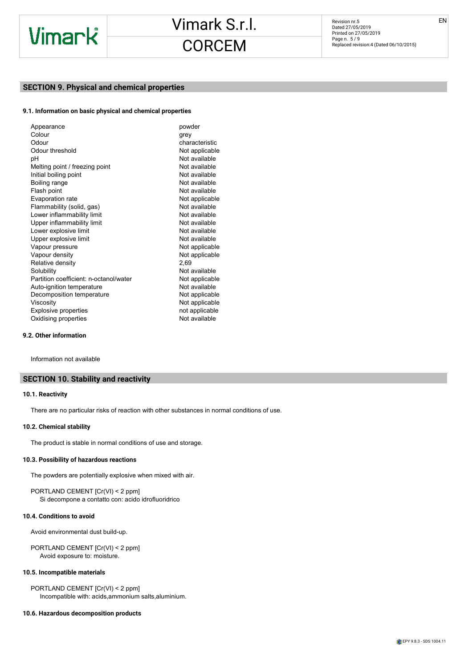## SECTION 9. Physical and chemical properties

#### 9.1. Information on basic physical and chemical properties

| Appearance                             | powder         |
|----------------------------------------|----------------|
| Colour                                 | grey           |
| Odour                                  | characteristic |
| Odour threshold                        | Not applicable |
| рH                                     | Not available  |
| Melting point / freezing point         | Not available  |
| Initial boiling point                  | Not available  |
| Boiling range                          | Not available  |
| Flash point                            | Not available  |
| Evaporation rate                       | Not applicable |
| Flammability (solid, gas)              | Not available  |
| Lower inflammability limit             | Not available  |
| Upper inflammability limit             | Not available  |
| Lower explosive limit                  | Not available  |
| Upper explosive limit                  | Not available  |
| Vapour pressure                        | Not applicable |
| Vapour density                         | Not applicable |
| Relative density                       | 2.69           |
| Solubility                             | Not available  |
| Partition coefficient: n-octanol/water | Not applicable |
| Auto-ignition temperature              | Not available  |
| Decomposition temperature              | Not applicable |
| Viscosity                              | Not applicable |
| <b>Explosive properties</b>            | not applicable |
| Oxidising properties                   | Not available  |
|                                        |                |

## 9.2. Other information

Information not available

## SECTION 10. Stability and reactivity

#### 10.1. Reactivity

There are no particular risks of reaction with other substances in normal conditions of use.

#### 10.2. Chemical stability

The product is stable in normal conditions of use and storage.

### 10.3. Possibility of hazardous reactions

The powders are potentially explosive when mixed with air.

PORTLAND CEMENT [Cr(VI) < 2 ppm] Si decompone a contatto con: acido idrofluoridrico

#### 10.4. Conditions to avoid

Avoid environmental dust build-up.

PORTLAND CEMENT [Cr(VI) < 2 ppm] Avoid exposure to: moisture.

#### 10.5. Incompatible materials

PORTLAND CEMENT [Cr(VI) < 2 ppm] Incompatible with: acids,ammonium salts,aluminium.

#### 10.6. Hazardous decomposition products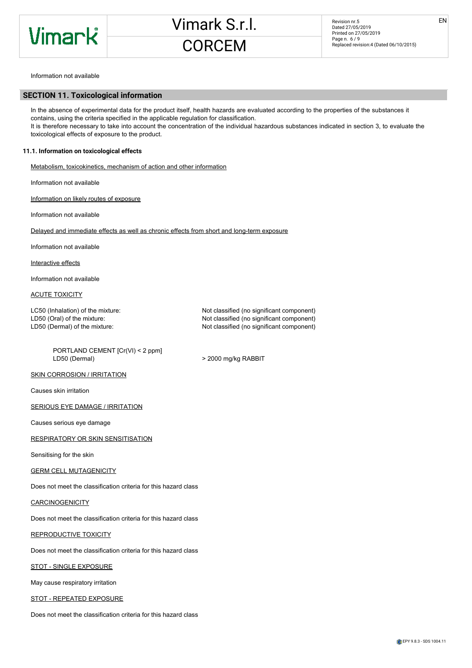Information not available

#### SECTION 11. Toxicological information

In the absence of experimental data for the product itself, health hazards are evaluated according to the properties of the substances it contains, using the criteria specified in the applicable regulation for classification. It is therefore necessary to take into account the concentration of the individual hazardous substances indicated in section 3, to evaluate the toxicological effects of exposure to the product.

#### 11.1. Information on toxicological effects

Metabolism, toxicokinetics, mechanism of action and other information

Information not available

Information on likely routes of exposure

Information not available

#### Delayed and immediate effects as well as chronic effects from short and long-term exposure

Information not available

Interactive effects

Information not available

ACUTE TOXICITY

LC50 (Inhalation) of the mixture: Not classified (no significant component) LD50 (Oral) of the mixture:  $\blacksquare$  Not classified (no significant component) LD50 (Dermal) of the mixture: Not classified (no significant component)

PORTLAND CEMENT [Cr(VI) < 2 ppm] LD50 (Dermal) > 2000 mg/kg RABBIT

#### **SKIN CORROSION / IRRITATION**

Causes skin irritation

SERIOUS EYE DAMAGE / IRRITATION

Causes serious eye damage

#### RESPIRATORY OR SKIN SENSITISATION

Sensitising for the skin

#### **GERM CELL MUTAGENICITY**

Does not meet the classification criteria for this hazard class

#### **CARCINOGENICITY**

Does not meet the classification criteria for this hazard class

REPRODUCTIVE TOXICITY

Does not meet the classification criteria for this hazard class

STOT - SINGLE EXPOSURE

May cause respiratory irritation

STOT - REPEATED EXPOSURE

Does not meet the classification criteria for this hazard class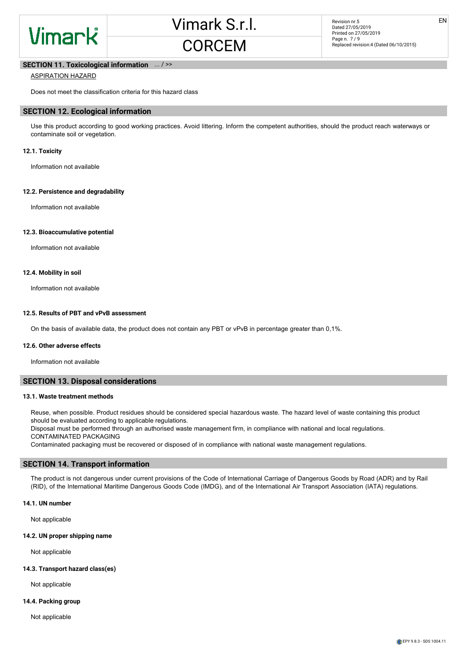## SECTION 11. Toxicological information  $\ldots$  / >>

## ASPIRATION HAZARD

Does not meet the classification criteria for this hazard class

## SECTION 12. Ecological information

Use this product according to good working practices. Avoid littering. Inform the competent authorities, should the product reach waterways or contaminate soil or vegetation.

#### 12.1. Toxicity

Information not available

#### 12.2. Persistence and degradability

Information not available

#### 12.3. Bioaccumulative potential

Information not available

#### 12.4. Mobility in soil

Information not available

#### 12.5. Results of PBT and vPvB assessment

On the basis of available data, the product does not contain any PBT or vPvB in percentage greater than 0,1%.

#### 12.6. Other adverse effects

Information not available

#### SECTION 13. Disposal considerations

#### 13.1. Waste treatment methods

Reuse, when possible. Product residues should be considered special hazardous waste. The hazard level of waste containing this product should be evaluated according to applicable regulations.

Disposal must be performed through an authorised waste management firm, in compliance with national and local regulations. CONTAMINATED PACKAGING

Contaminated packaging must be recovered or disposed of in compliance with national waste management regulations.

#### SECTION 14. Transport information

The product is not dangerous under current provisions of the Code of International Carriage of Dangerous Goods by Road (ADR) and by Rail (RID), of the International Maritime Dangerous Goods Code (IMDG), and of the International Air Transport Association (IATA) regulations.

#### 14.1. UN number

Not applicable

#### 14.2. UN proper shipping name

Not applicable

#### 14.3. Transport hazard class(es)

Not applicable

#### 14.4. Packing group

Not applicable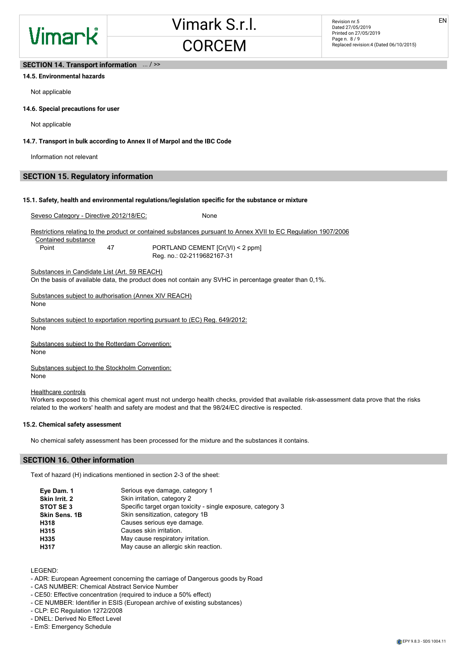# Vimark

EN

## SECTION 14. Transport information ... / >>

## 14.5. Environmental hazards

Not applicable

## 14.6. Special precautions for user

Not applicable

## 14.7. Transport in bulk according to Annex II of Marpol and the IBC Code

Information not relevant

## SECTION 15. Regulatory information

## 15.1. Safety, health and environmental regulations/legislation specific for the substance or mixture

Seveso Category - Directive 2012/18/EC: None

Restrictions relating to the product or contained substances pursuant to Annex XVII to EC Regulation 1907/2006

Contained substance

Point 47 PORTLAND CEMENT [Cr(VI) < 2 ppm] Reg. no.: 02-2119682167-31

#### Substances in Candidate List (Art. 59 REACH)

On the basis of available data, the product does not contain any SVHC in percentage greater than 0,1%.

#### Substances subject to authorisation (Annex XIV REACH) None

Substances subject to exportation reporting pursuant to (EC) Reg. 649/2012: None

Substances subject to the Rotterdam Convention: None

Substances subject to the Stockholm Convention: None

#### Healthcare controls

Workers exposed to this chemical agent must not undergo health checks, provided that available risk-assessment data prove that the risks related to the workers' health and safety are modest and that the 98/24/EC directive is respected.

## 15.2. Chemical safety assessment

No chemical safety assessment has been processed for the mixture and the substances it contains.

## SECTION 16. Other information

Text of hazard (H) indications mentioned in section 2-3 of the sheet:

| Eye Dam. 1           | Serious eye damage, category 1                               |
|----------------------|--------------------------------------------------------------|
| Skin Irrit. 2        | Skin irritation, category 2                                  |
| STOT SE 3            | Specific target organ toxicity - single exposure, category 3 |
| <b>Skin Sens, 1B</b> | Skin sensitization, category 1B                              |
| H318                 | Causes serious eye damage.                                   |
| H315                 | Causes skin irritation.                                      |
| H335                 | May cause respiratory irritation.                            |
| H317                 | May cause an allergic skin reaction.                         |

## LEGEND:

- ADR: European Agreement concerning the carriage of Dangerous goods by Road
- CAS NUMBER: Chemical Abstract Service Number
- CE50: Effective concentration (required to induce a 50% effect)
- CE NUMBER: Identifier in ESIS (European archive of existing substances)
- CLP: EC Regulation 1272/2008
- DNEL: Derived No Effect Level
- EmS: Emergency Schedule